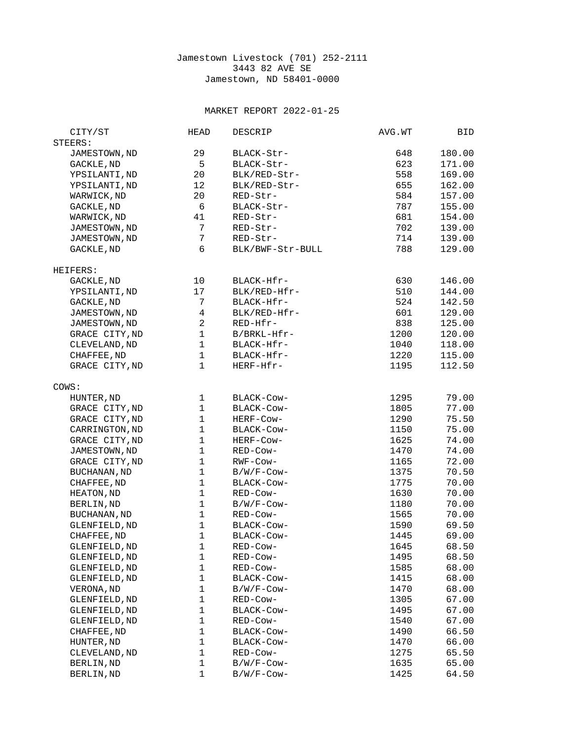## Jamestown Livestock (701) 252-2111 3443 82 AVE SE Jamestown, ND 58401-0000

## MARKET REPORT 2022-01-25

| CITY/ST             | HEAD           | <b>DESCRIP</b>   | AVG.WT | BID    |
|---------------------|----------------|------------------|--------|--------|
| STEERS:             |                |                  |        |        |
| JAMESTOWN, ND       | 29             | BLACK-Str-       | 648    | 180.00 |
| GACKLE, ND          | $\overline{5}$ | BLACK-Str-       | 623    | 171.00 |
| YPSILANTI, ND       | 20             | BLK/RED-Str-     | 558    | 169.00 |
| YPSILANTI, ND       | 12             | BLK/RED-Str-     | 655    | 162.00 |
| WARWICK, ND         | 20             | RED-Str-         | 584    | 157.00 |
|                     | 6              | BLACK-Str-       | 787    | 155.00 |
| GACKLE, ND          |                |                  |        |        |
| WARWICK, ND         | 41             | RED-Str-         | 681    | 154.00 |
| JAMESTOWN, ND       | $\overline{7}$ | RED-Str-         | 702    | 139.00 |
| JAMESTOWN, ND       | $\overline{7}$ | RED-Str-         | 714    | 139.00 |
| GACKLE, ND          | 6              | BLK/BWF-Str-BULL | 788    | 129.00 |
| HEIFERS:            |                |                  |        |        |
| GACKLE, ND          | 10             | BLACK-Hfr-       | 630    | 146.00 |
| YPSILANTI, ND       | 17             | BLK/RED-Hfr-     | 510    | 144.00 |
| GACKLE, ND          | 7              | BLACK-Hfr-       | 524    | 142.50 |
| JAMESTOWN, ND       | $\overline{4}$ | BLK/RED-Hfr-     | 601    | 129.00 |
| JAMESTOWN, ND       | $\overline{c}$ | RED-Hfr-         | 838    | 125.00 |
| GRACE CITY, ND      | $\mathbf{1}$   | B/BRKL-Hfr-      | 1200   | 120.00 |
| CLEVELAND, ND       | $\mathbf{1}$   | BLACK-Hfr-       | 1040   | 118.00 |
| CHAFFEE, ND         | $\mathbf{1}$   | BLACK-Hfr-       | 1220   | 115.00 |
| GRACE CITY, ND      | 1              | HERF-Hfr-        | 1195   | 112.50 |
|                     |                |                  |        |        |
| COWS:               |                |                  |        |        |
| HUNTER, ND          | $\mathbf{1}$   | BLACK-Cow-       | 1295   | 79.00  |
| GRACE CITY, ND      | $\mathbf{1}$   | BLACK-Cow-       | 1805   | 77.00  |
| GRACE CITY, ND      | $\mathbf 1$    | HERF-Cow-        | 1290   | 75.50  |
| CARRINGTON, ND      | $\mathbf{1}$   | BLACK-COW-       | 1150   | 75.00  |
| GRACE CITY, ND      | $\mathbf{1}$   | HERF-Cow-        | 1625   | 74.00  |
| JAMESTOWN, ND       | $\mathbf{1}$   | RED-COW-         | 1470   | 74.00  |
| GRACE CITY, ND      | $\mathbf{1}$   | RWF-Cow-         | 1165   | 72.00  |
| BUCHANAN, ND        | $\mathbf{1}$   | B/W/F-Cow-       | 1375   | 70.50  |
| CHAFFEE, ND         | $\mathbf{1}$   | BLACK-Cow-       | 1775   | 70.00  |
| HEATON, ND          | $\mathbf{1}$   | RED-Cow-         | 1630   | 70.00  |
| BERLIN, ND          | $\mathbf{1}$   | $B/W/F$ -Cow-    | 1180   | 70.00  |
| <b>BUCHANAN, ND</b> | $\mathbf 1$    | RED-Cow-         | 1565   | 70.00  |
| GLENFIELD, ND       | $\mathbf{1}$   | BLACK-COW-       | 1590   | 69.50  |
| CHAFFEE, ND         | $\mathbf{1}$   | BLACK-COW-       | 1445   | 69.00  |
| GLENFIELD, ND       | 1              | RED-COW-         | 1645   | 68.50  |
| GLENFIELD, ND       | 1              | RED-Cow-         | 1495   | 68.50  |
| GLENFIELD, ND       | 1              | RED-Cow-         | 1585   | 68.00  |
|                     | 1              |                  |        |        |
| GLENFIELD, ND       | $\mathbf{1}$   | BLACK-Cow-       | 1415   | 68.00  |
| VERONA, ND          |                | B/W/F-Cow-       | 1470   | 68.00  |
| GLENFIELD, ND       | 1              | RED-Cow-         | 1305   | 67.00  |
| GLENFIELD, ND       | 1              | BLACK-COW-       | 1495   | 67.00  |
| GLENFIELD, ND       | 1              | RED-COW-         | 1540   | 67.00  |
| CHAFFEE, ND         | 1              | BLACK-Cow-       | 1490   | 66.50  |
| HUNTER, ND          | 1              | BLACK-COW-       | 1470   | 66.00  |
| CLEVELAND, ND       | 1              | RED-COW-         | 1275   | 65.50  |
| BERLIN, ND          | 1              | B/W/F-Cow-       | 1635   | 65.00  |
| BERLIN, ND          | 1              | B/W/F-Cow-       | 1425   | 64.50  |